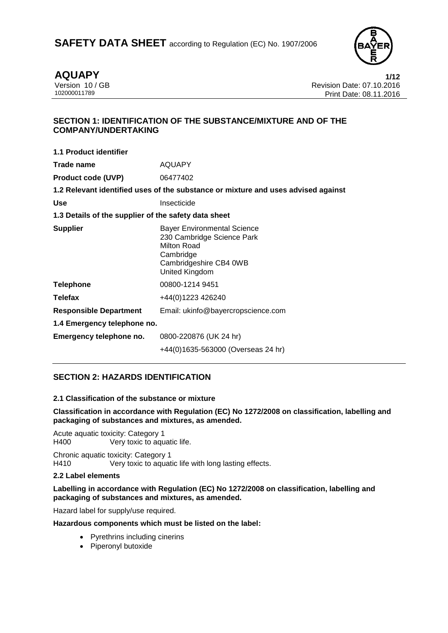

**AQUAPY** 1/12<br>Version 10 / GB 10 2016 Version 10 / GB Revision Date: 07.10.2016 Print Date: 08.11.2016

# **SECTION 1: IDENTIFICATION OF THE SUBSTANCE/MIXTURE AND OF THE COMPANY/UNDERTAKING**

| 1.1 Product identifier                               |                                                                                                                                          |
|------------------------------------------------------|------------------------------------------------------------------------------------------------------------------------------------------|
| Trade name                                           | <b>AQUAPY</b>                                                                                                                            |
| <b>Product code (UVP)</b>                            | 06477402                                                                                                                                 |
|                                                      | 1.2 Relevant identified uses of the substance or mixture and uses advised against                                                        |
| <b>Use</b>                                           | Insecticide                                                                                                                              |
| 1.3 Details of the supplier of the safety data sheet |                                                                                                                                          |
| <b>Supplier</b>                                      | <b>Bayer Environmental Science</b><br>230 Cambridge Science Park<br>Milton Road<br>Cambridge<br>Cambridgeshire CB4 0WB<br>United Kingdom |
| <b>Telephone</b>                                     | 00800-1214 9451                                                                                                                          |
| <b>Telefax</b>                                       | +44(0)1223 426240                                                                                                                        |
| <b>Responsible Department</b>                        | Email: ukinfo@bayercropscience.com                                                                                                       |
| 1.4 Emergency telephone no.                          |                                                                                                                                          |
| Emergency telephone no.                              | 0800-220876 (UK 24 hr)                                                                                                                   |
|                                                      | +44(0)1635-563000 (Overseas 24 hr)                                                                                                       |

# **SECTION 2: HAZARDS IDENTIFICATION**

# **2.1 Classification of the substance or mixture**

### **Classification in accordance with Regulation (EC) No 1272/2008 on classification, labelling and packaging of substances and mixtures, as amended.**

Acute aquatic toxicity: Category 1<br>H400 Very toxic to agu Very toxic to aquatic life.

Chronic aquatic toxicity: Category 1 H410 Very toxic to aquatic life with long lasting effects.

# **2.2 Label elements**

### **Labelling in accordance with Regulation (EC) No 1272/2008 on classification, labelling and packaging of substances and mixtures, as amended.**

Hazard label for supply/use required.

# **Hazardous components which must be listed on the label:**

- Pyrethrins including cinerins
- Piperonyl butoxide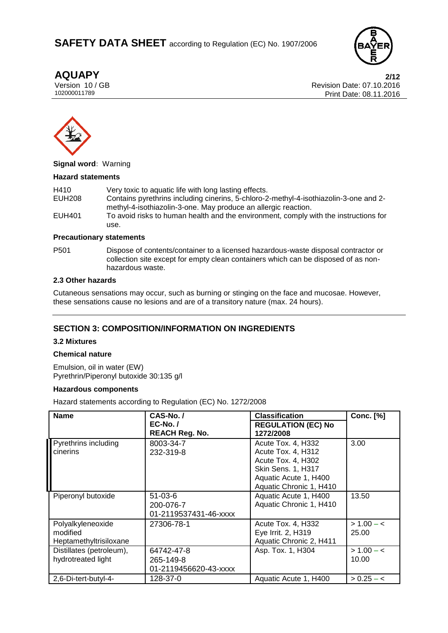

**AQUAPY 2/12** Version 10 / GB Revision Date: 07.10.2016 Print Date: 08.11.2016



#### **Signal word:** Warning

#### **Hazard statements**

| H410   | Very toxic to aquatic life with long lasting effects.                                 |
|--------|---------------------------------------------------------------------------------------|
| EUH208 | Contains pyrethrins including cinerins, 5-chloro-2-methyl-4-isothiazolin-3-one and 2- |
|        | methyl-4-isothiazolin-3-one. May produce an allergic reaction.                        |
| EUH401 | To avoid risks to human health and the environment, comply with the instructions for  |
|        | use.                                                                                  |

#### **Precautionary statements**

P501 Dispose of contents/container to a licensed hazardous-waste disposal contractor or collection site except for empty clean containers which can be disposed of as nonhazardous waste.

### **2.3 Other hazards**

Cutaneous sensations may occur, such as burning or stinging on the face and mucosae. However, these sensations cause no lesions and are of a transitory nature (max. 24 hours).

# **SECTION 3: COMPOSITION/INFORMATION ON INGREDIENTS**

### **3.2 Mixtures**

### **Chemical nature**

Emulsion, oil in water (EW) Pyrethrin/Piperonyl butoxide 30:135 g/l

#### **Hazardous components**

Hazard statements according to Regulation (EC) No. 1272/2008

| <b>Name</b>                                             | CAS-No./                                            | <b>Classification</b>                                                                                                                    | <b>Conc.</b> [%]      |
|---------------------------------------------------------|-----------------------------------------------------|------------------------------------------------------------------------------------------------------------------------------------------|-----------------------|
|                                                         | <b>EC-No./</b><br><b>REACH Reg. No.</b>             | <b>REGULATION (EC) No</b><br>1272/2008                                                                                                   |                       |
| Pyrethrins including<br>cinerins                        | 8003-34-7<br>232-319-8                              | Acute Tox. 4, H332<br>Acute Tox. 4, H312<br>Acute Tox. 4, H302<br>Skin Sens. 1, H317<br>Aquatic Acute 1, H400<br>Aquatic Chronic 1, H410 | 3.00                  |
| Piperonyl butoxide                                      | $51 - 03 - 6$<br>200-076-7<br>01-2119537431-46-xxxx | Aquatic Acute 1, H400<br>Aquatic Chronic 1, H410                                                                                         | 13.50                 |
| Polyalkyleneoxide<br>modified<br>Heptamethyltrisiloxane | 27306-78-1                                          | Acute Tox. 4, H332<br>Eye Irrit. 2, H319<br>Aquatic Chronic 2, H411                                                                      | $> 1.00 - c$<br>25.00 |
| Distillates (petroleum),<br>hydrotreated light          | 64742-47-8<br>265-149-8<br>01-2119456620-43-xxxx    | Asp. Tox. 1, H304                                                                                                                        | $> 1.00 - c$<br>10.00 |
| 2,6-Di-tert-butyl-4-                                    | 128-37-0                                            | Aquatic Acute 1, H400                                                                                                                    | $> 0.25 - c$          |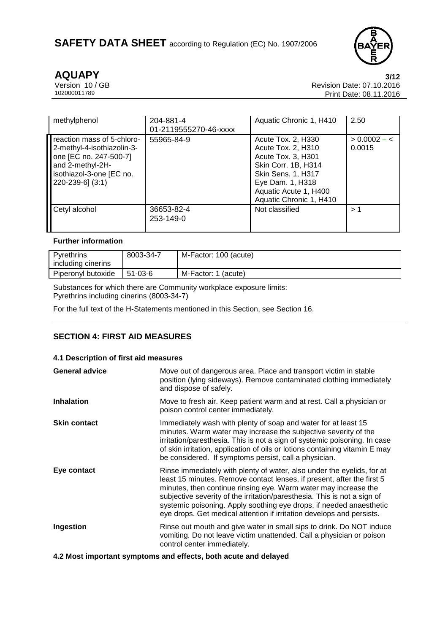

**AQUAPY** 3/12<br>Version 10 / GB 3/12<br>Revision Date: 07.10.2016 Version 10 / GB **Revision Date: 07.10.2016**<br>102000011789 Print Date: 08 11 2016 Print Date: 08.11.2016

| methylphenol                                                                                                                                                | 204-881-4<br>01-2119555270-46-xxxx | Aquatic Chronic 1, H410                                                                                                                                                                    | 2.50                     |
|-------------------------------------------------------------------------------------------------------------------------------------------------------------|------------------------------------|--------------------------------------------------------------------------------------------------------------------------------------------------------------------------------------------|--------------------------|
| reaction mass of 5-chloro-<br>2-methyl-4-isothiazolin-3-<br>one [EC no. 247-500-7]<br>and 2-methyl-2H-<br>isothiazol-3-one [EC no.<br>$[220-239-6]$ $(3:1)$ | 55965-84-9                         | Acute Tox. 2, H330<br>Acute Tox. 2, H310<br>Acute Tox. 3, H301<br>Skin Corr. 1B, H314<br><b>Skin Sens. 1, H317</b><br>Eye Dam. 1, H318<br>Aquatic Acute 1, H400<br>Aquatic Chronic 1, H410 | $> 0.0002 - <$<br>0.0015 |
| Cetyl alcohol                                                                                                                                               | 36653-82-4<br>253-149-0            | Not classified                                                                                                                                                                             | >1                       |

# **Further information**

| Pyrethrins         | 8003-34-7     | M-Factor: 100 (acute)  |
|--------------------|---------------|------------------------|
| including cinerins |               |                        |
| Piperonyl butoxide | $51 - 03 - 6$ | M-Factor: 1<br>(acute) |

Substances for which there are Community workplace exposure limits: Pyrethrins including cinerins (8003-34-7)

For the full text of the H-Statements mentioned in this Section, see Section 16.

# **SECTION 4: FIRST AID MEASURES**

# **4.1 Description of first aid measures**

| <b>General advice</b> | Move out of dangerous area. Place and transport victim in stable<br>position (lying sideways). Remove contaminated clothing immediately<br>and dispose of safely.                                                                                                                                                                                                                                                                               |
|-----------------------|-------------------------------------------------------------------------------------------------------------------------------------------------------------------------------------------------------------------------------------------------------------------------------------------------------------------------------------------------------------------------------------------------------------------------------------------------|
| <b>Inhalation</b>     | Move to fresh air. Keep patient warm and at rest. Call a physician or<br>poison control center immediately.                                                                                                                                                                                                                                                                                                                                     |
| <b>Skin contact</b>   | Immediately wash with plenty of soap and water for at least 15<br>minutes. Warm water may increase the subjective severity of the<br>irritation/paresthesia. This is not a sign of systemic poisoning. In case<br>of skin irritation, application of oils or lotions containing vitamin E may<br>be considered. If symptoms persist, call a physician.                                                                                          |
| Eye contact           | Rinse immediately with plenty of water, also under the eyelids, for at<br>least 15 minutes. Remove contact lenses, if present, after the first 5<br>minutes, then continue rinsing eye. Warm water may increase the<br>subjective severity of the irritation/paresthesia. This is not a sign of<br>systemic poisoning. Apply soothing eye drops, if needed anaesthetic<br>eye drops. Get medical attention if irritation develops and persists. |
| Ingestion             | Rinse out mouth and give water in small sips to drink. Do NOT induce<br>vomiting. Do not leave victim unattended. Call a physician or poison<br>control center immediately.                                                                                                                                                                                                                                                                     |
|                       |                                                                                                                                                                                                                                                                                                                                                                                                                                                 |

**4.2 Most important symptoms and effects, both acute and delayed**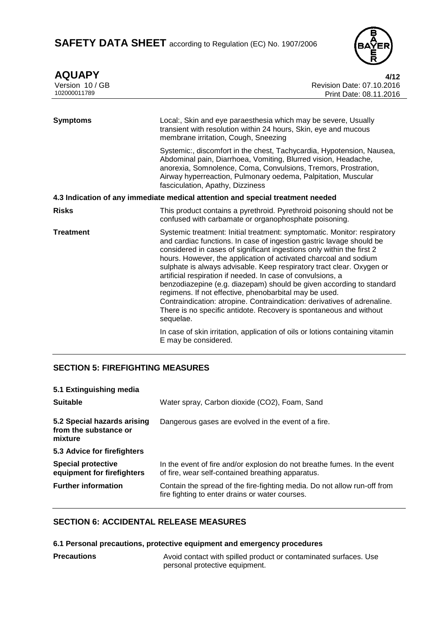

**AQUAPY 4/12** Version 10 / GB Revision Date: 07.10.2016 Print Date: 08.11.2016 **Symptoms** Local:, Skin and eye paraesthesia which may be severe, Usually transient with resolution within 24 hours, Skin, eye and mucous membrane irritation, Cough, Sneezing Systemic:, discomfort in the chest, Tachycardia, Hypotension, Nausea, Abdominal pain, Diarrhoea, Vomiting, Blurred vision, Headache, anorexia, Somnolence, Coma, Convulsions, Tremors, Prostration, Airway hyperreaction, Pulmonary oedema, Palpitation, Muscular fasciculation, Apathy, Dizziness **4.3 Indication of any immediate medical attention and special treatment needed Risks** This product contains a pyrethroid. Pyrethroid poisoning should not be confused with carbamate or organophosphate poisoning. **Treatment** Systemic treatment: Initial treatment: symptomatic. Monitor: respiratory and cardiac functions. In case of ingestion gastric lavage should be considered in cases of significant ingestions only within the first 2 hours. However, the application of activated charcoal and sodium sulphate is always advisable. Keep respiratory tract clear. Oxygen or artificial respiration if needed. In case of convulsions, a benzodiazepine (e.g. diazepam) should be given according to standard regimens. If not effective, phenobarbital may be used. Contraindication: atropine. Contraindication: derivatives of adrenaline. There is no specific antidote. Recovery is spontaneous and without sequelae. In case of skin irritation, application of oils or lotions containing vitamin E may be considered.

# **SECTION 5: FIREFIGHTING MEASURES**

| 5.1 Extinguishing media                                         |                                                                                                                               |
|-----------------------------------------------------------------|-------------------------------------------------------------------------------------------------------------------------------|
| <b>Suitable</b>                                                 | Water spray, Carbon dioxide (CO2), Foam, Sand                                                                                 |
| 5.2 Special hazards arising<br>from the substance or<br>mixture | Dangerous gases are evolved in the event of a fire.                                                                           |
| 5.3 Advice for firefighters                                     |                                                                                                                               |
| <b>Special protective</b><br>equipment for firefighters         | In the event of fire and/or explosion do not breathe fumes. In the event<br>of fire, wear self-contained breathing apparatus. |
| <b>Further information</b>                                      | Contain the spread of the fire-fighting media. Do not allow run-off from<br>fire fighting to enter drains or water courses.   |

# **SECTION 6: ACCIDENTAL RELEASE MEASURES**

**6.1 Personal precautions, protective equipment and emergency procedures**

**Precautions Avoid contact with spilled product or contaminated surfaces. Use** personal protective equipment.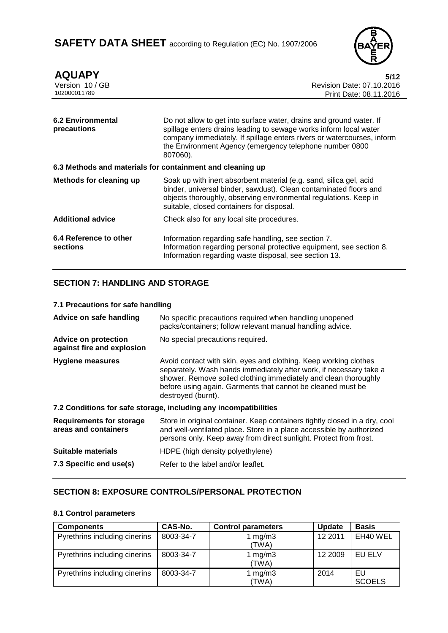

| <b>AQUAPY</b><br>Version 10 / GB<br>102000011789          | 5/12<br>Revision Date: 07.10.2016<br>Print Date: 08.11.2016                                                                                                                                                                                                                               |
|-----------------------------------------------------------|-------------------------------------------------------------------------------------------------------------------------------------------------------------------------------------------------------------------------------------------------------------------------------------------|
| <b>6.2 Environmental</b><br>precautions                   | Do not allow to get into surface water, drains and ground water. If<br>spillage enters drains leading to sewage works inform local water<br>company immediately. If spillage enters rivers or watercourses, inform<br>the Environment Agency (emergency telephone number 0800<br>807060). |
| 6.3 Methods and materials for containment and cleaning up |                                                                                                                                                                                                                                                                                           |
| <b>Methods for cleaning up</b>                            | Soak up with inert absorbent material (e.g. sand, silica gel, acid<br>binder, universal binder, sawdust). Clean contaminated floors and<br>objects thoroughly, observing environmental regulations. Keep in<br>suitable, closed containers for disposal.                                  |
| <b>Additional advice</b>                                  | Check also for any local site procedures.                                                                                                                                                                                                                                                 |
| 6.4 Reference to other<br>sections                        | Information regarding safe handling, see section 7.<br>Information regarding personal protective equipment, see section 8.<br>Information regarding waste disposal, see section 13.                                                                                                       |

# **SECTION 7: HANDLING AND STORAGE**

| 7.1 Precautions for safe handling                         |                                                                                                                                                                                                                                                                                                |
|-----------------------------------------------------------|------------------------------------------------------------------------------------------------------------------------------------------------------------------------------------------------------------------------------------------------------------------------------------------------|
| Advice on safe handling                                   | No specific precautions required when handling unopened<br>packs/containers; follow relevant manual handling advice.                                                                                                                                                                           |
| <b>Advice on protection</b><br>against fire and explosion | No special precautions required.                                                                                                                                                                                                                                                               |
| Hygiene measures                                          | Avoid contact with skin, eyes and clothing. Keep working clothes<br>separately. Wash hands immediately after work, if necessary take a<br>shower. Remove soiled clothing immediately and clean thoroughly<br>before using again. Garments that cannot be cleaned must be<br>destroyed (burnt). |
|                                                           | 7.2 Conditions for safe storage, including any incompatibilities                                                                                                                                                                                                                               |
| <b>Requirements for storage</b><br>areas and containers   | Store in original container. Keep containers tightly closed in a dry, cool<br>and well-ventilated place. Store in a place accessible by authorized<br>persons only. Keep away from direct sunlight. Protect from frost.                                                                        |
| Suitable materials                                        | HDPE (high density polyethylene)                                                                                                                                                                                                                                                               |
| 7.3 Specific end use(s)                                   | Refer to the label and/or leaflet.                                                                                                                                                                                                                                                             |

# **SECTION 8: EXPOSURE CONTROLS/PERSONAL PROTECTION**

#### **8.1 Control parameters**

| <b>Components</b>             | CAS-No.   | <b>Control parameters</b> | <b>Update</b> | <b>Basis</b>        |
|-------------------------------|-----------|---------------------------|---------------|---------------------|
| Pyrethrins including cinerins | 8003-34-7 | 1 $mg/m3$<br>(TWA)        | 12 2011       | EH40 WEL            |
| Pyrethrins including cinerins | 8003-34-7 | 1 mg/m $3$<br>(TWA)       | 12 2009       | EU ELV              |
| Pyrethrins including cinerins | 8003-34-7 | 1 $mg/m3$<br>(TWA)        | 2014          | EU<br><b>SCOELS</b> |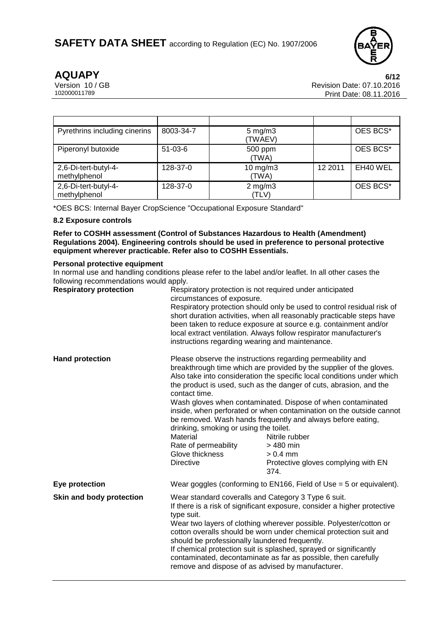

**AQUAPY** 6/12<br> **6/12** Version 10 / GB Version 10 / GB Revision Date: 07.10.2016<br>102000011789 Print Date: 08 11 2016 Print Date: 08.11.2016

| Pyrethrins including cinerins        | 8003-34-7 | $5 \text{ mg/m}$ 3<br>(TWAEV) |         | OES BCS* |
|--------------------------------------|-----------|-------------------------------|---------|----------|
| Piperonyl butoxide                   | $51-03-6$ | 500 ppm<br>(TWA)              |         | OES BCS* |
| 2,6-Di-tert-butyl-4-<br>methylphenol | 128-37-0  | $10$ mg/m $3$<br>(TWA)        | 12 2011 | EH40 WEL |
| 2,6-Di-tert-butyl-4-<br>methylphenol | 128-37-0  | $2$ mg/m $3$<br>(TLV)         |         | OES BCS* |

\*OES BCS: Internal Bayer CropScience "Occupational Exposure Standard"

# **8.2 Exposure controls**

**Refer to COSHH assessment (Control of Substances Hazardous to Health (Amendment) Regulations 2004). Engineering controls should be used in preference to personal protective equipment wherever practicable. Refer also to COSHH Essentials.**

#### **Personal protective equipment**

In normal use and handling conditions please refer to the label and/or leaflet. In all other cases the following recommendations would apply.

| <b>Respiratory protection</b> | Respiratory protection is not required under anticipated<br>circumstances of exposure.<br>Respiratory protection should only be used to control residual risk of<br>short duration activities, when all reasonably practicable steps have<br>been taken to reduce exposure at source e.g. containment and/or<br>local extract ventilation. Always follow respirator manufacturer's<br>instructions regarding wearing and maintenance.                                                                                                  |                                                                                                                                                                                                                                                                                                                                                                                                                                                                                                                                                                                     |  |
|-------------------------------|----------------------------------------------------------------------------------------------------------------------------------------------------------------------------------------------------------------------------------------------------------------------------------------------------------------------------------------------------------------------------------------------------------------------------------------------------------------------------------------------------------------------------------------|-------------------------------------------------------------------------------------------------------------------------------------------------------------------------------------------------------------------------------------------------------------------------------------------------------------------------------------------------------------------------------------------------------------------------------------------------------------------------------------------------------------------------------------------------------------------------------------|--|
| <b>Hand protection</b>        | contact time.<br>drinking, smoking or using the toilet.<br><b>Material</b><br>Rate of permeability<br>Glove thickness<br><b>Directive</b>                                                                                                                                                                                                                                                                                                                                                                                              | Please observe the instructions regarding permeability and<br>breakthrough time which are provided by the supplier of the gloves.<br>Also take into consideration the specific local conditions under which<br>the product is used, such as the danger of cuts, abrasion, and the<br>Wash gloves when contaminated. Dispose of when contaminated<br>inside, when perforated or when contamination on the outside cannot<br>be removed. Wash hands frequently and always before eating,<br>Nitrile rubber<br>$>480$ min<br>$> 0.4$ mm<br>Protective gloves complying with EN<br>374. |  |
| Eye protection                |                                                                                                                                                                                                                                                                                                                                                                                                                                                                                                                                        | Wear goggles (conforming to EN166, Field of Use $=$ 5 or equivalent).                                                                                                                                                                                                                                                                                                                                                                                                                                                                                                               |  |
| Skin and body protection      | Wear standard coveralls and Category 3 Type 6 suit.<br>If there is a risk of significant exposure, consider a higher protective<br>type suit.<br>Wear two layers of clothing wherever possible. Polyester/cotton or<br>cotton overalls should be worn under chemical protection suit and<br>should be professionally laundered frequently.<br>If chemical protection suit is splashed, sprayed or significantly<br>contaminated, decontaminate as far as possible, then carefully<br>remove and dispose of as advised by manufacturer. |                                                                                                                                                                                                                                                                                                                                                                                                                                                                                                                                                                                     |  |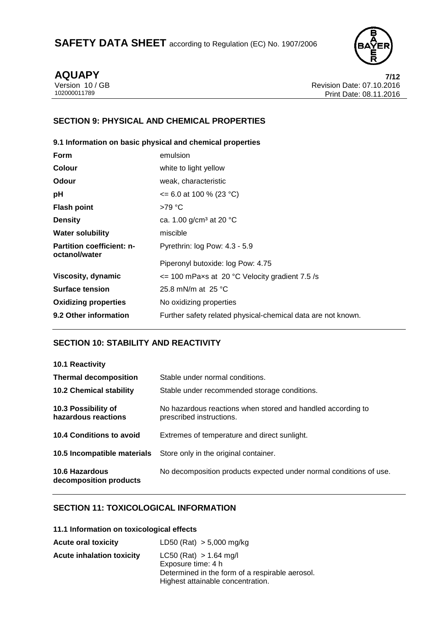

**AQUAPY** 7/12<br> *PHONE 10/GB* 7/12 Revision Date: 07.10.2016 Version 10 / GB **Revision Date: 07.10.2016**<br>102000011789 Print Date: 08 11 2016 Print Date: 08.11.2016

# **SECTION 9: PHYSICAL AND CHEMICAL PROPERTIES**

# **9.1 Information on basic physical and chemical properties**

| <b>Form</b>                                       | emulsion                                                     |
|---------------------------------------------------|--------------------------------------------------------------|
| <b>Colour</b>                                     | white to light yellow                                        |
| Odour                                             | weak, characteristic                                         |
| рH                                                | $\leq$ 6.0 at 100 % (23 °C)                                  |
| <b>Flash point</b>                                | $>79^{\circ}$ C                                              |
| <b>Density</b>                                    | ca. 1.00 g/cm <sup>3</sup> at 20 °C                          |
| <b>Water solubility</b>                           | miscible                                                     |
| <b>Partition coefficient: n-</b><br>octanol/water | Pyrethrin: log Pow: 4.3 - 5.9                                |
|                                                   | Piperonyl butoxide: log Pow: 4.75                            |
| Viscosity, dynamic                                | $\epsilon$ = 100 mPaxs at 20 °C Velocity gradient 7.5 /s     |
| <b>Surface tension</b>                            | 25.8 mN/m at $25 °C$                                         |
| <b>Oxidizing properties</b>                       | No oxidizing properties                                      |
| 9.2 Other information                             | Further safety related physical-chemical data are not known. |

# **SECTION 10: STABILITY AND REACTIVITY**

| <b>10.1 Reactivity</b>                     |                                                                                         |
|--------------------------------------------|-----------------------------------------------------------------------------------------|
| <b>Thermal decomposition</b>               | Stable under normal conditions.                                                         |
| <b>10.2 Chemical stability</b>             | Stable under recommended storage conditions.                                            |
| 10.3 Possibility of<br>hazardous reactions | No hazardous reactions when stored and handled according to<br>prescribed instructions. |
| 10.4 Conditions to avoid                   | Extremes of temperature and direct sunlight.                                            |
| 10.5 Incompatible materials                | Store only in the original container.                                                   |
| 10.6 Hazardous<br>decomposition products   | No decomposition products expected under normal conditions of use.                      |

# **SECTION 11: TOXICOLOGICAL INFORMATION**

|  |  |  | 11.1 Information on toxicological effects |  |
|--|--|--|-------------------------------------------|--|
|--|--|--|-------------------------------------------|--|

| <b>Acute oral toxicity</b>       | LD50 (Rat) > 5,000 mg/kg                                                             |
|----------------------------------|--------------------------------------------------------------------------------------|
| <b>Acute inhalation toxicity</b> | $LC50$ (Rat) $> 1.64$ mg/l<br>Exposure time: 4 h                                     |
|                                  | Determined in the form of a respirable aerosol.<br>Highest attainable concentration. |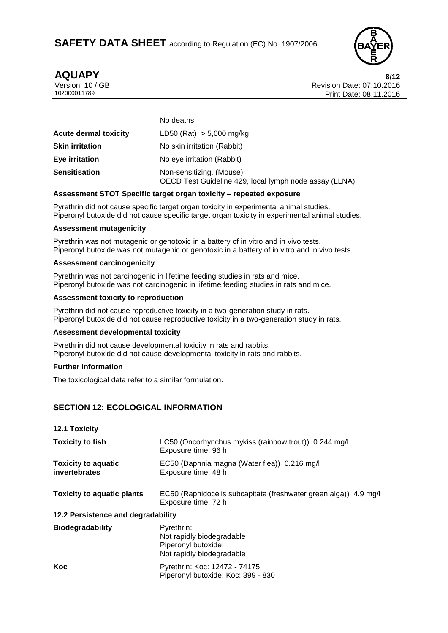

**AQUAPY 8/12** Version 10 / GB Revision Date: 07.10.2016 Print Date: 08.11.2016

|                              | No deaths                                                                          |
|------------------------------|------------------------------------------------------------------------------------|
| <b>Acute dermal toxicity</b> | LD50 (Rat) $> 5,000$ mg/kg                                                         |
| <b>Skin irritation</b>       | No skin irritation (Rabbit)                                                        |
| Eye irritation               | No eye irritation (Rabbit)                                                         |
| <b>Sensitisation</b>         | Non-sensitizing. (Mouse)<br>OECD Test Guideline 429, local lymph node assay (LLNA) |

# **Assessment STOT Specific target organ toxicity – repeated exposure**

Pyrethrin did not cause specific target organ toxicity in experimental animal studies. Piperonyl butoxide did not cause specific target organ toxicity in experimental animal studies.

#### **Assessment mutagenicity**

Pyrethrin was not mutagenic or genotoxic in a battery of in vitro and in vivo tests. Piperonyl butoxide was not mutagenic or genotoxic in a battery of in vitro and in vivo tests.

#### **Assessment carcinogenicity**

Pyrethrin was not carcinogenic in lifetime feeding studies in rats and mice. Piperonyl butoxide was not carcinogenic in lifetime feeding studies in rats and mice.

#### **Assessment toxicity to reproduction**

Pyrethrin did not cause reproductive toxicity in a two-generation study in rats. Piperonyl butoxide did not cause reproductive toxicity in a two-generation study in rats.

### **Assessment developmental toxicity**

Pyrethrin did not cause developmental toxicity in rats and rabbits. Piperonyl butoxide did not cause developmental toxicity in rats and rabbits.

# **Further information**

The toxicological data refer to a similar formulation.

# **SECTION 12: ECOLOGICAL INFORMATION**

| 12.1 Toxicity                                      |                                                                                             |
|----------------------------------------------------|---------------------------------------------------------------------------------------------|
| <b>Toxicity to fish</b>                            | LC50 (Oncorhynchus mykiss (rainbow trout)) 0.244 mg/l<br>Exposure time: 96 h                |
| <b>Toxicity to aquatic</b><br><b>invertebrates</b> | EC50 (Daphnia magna (Water flea)) 0.216 mg/l<br>Exposure time: 48 h                         |
| <b>Toxicity to aquatic plants</b>                  | EC50 (Raphidocelis subcapitata (freshwater green alga)) 4.9 mg/l<br>Exposure time: 72 h     |
| 12.2 Persistence and degradability                 |                                                                                             |
| <b>Biodegradability</b>                            | Pyrethrin:<br>Not rapidly biodegradable<br>Piperonyl butoxide:<br>Not rapidly biodegradable |
| Koc                                                | Pyrethrin: Koc: 12472 - 74175<br>Piperonyl butoxide: Koc: 399 - 830                         |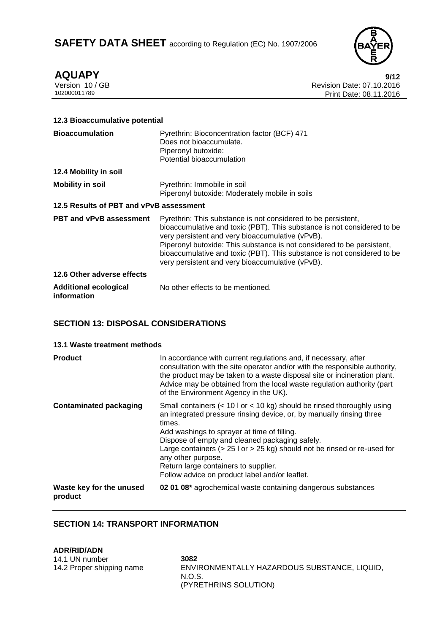

**AQUAPY** 9/12<br>Version 10 / GB 9/12<br>Pevision Date: 07.10.2016 Version 10 / GB Revision Date: 07.10.2016 Print Date: 08.11.2016

# **12.3 Bioaccumulative potential Bioaccumulation** Pyrethrin: Bioconcentration factor (BCF) 471 Does not bioaccumulate. Piperonyl butoxide: Potential bioaccumulation **12.4 Mobility in soil Mobility in soil** Pyrethrin: Immobile in soil Piperonyl butoxide: Moderately mobile in soils **12.5 Results of PBT and vPvB assessment PBT and vPvB assessment** Pyrethrin: This substance is not considered to be persistent, bioaccumulative and toxic (PBT). This substance is not considered to be very persistent and very bioaccumulative (vPvB). Piperonyl butoxide: This substance is not considered to be persistent, bioaccumulative and toxic (PBT). This substance is not considered to be very persistent and very bioaccumulative (vPvB). **12.6 Other adverse effects Additional ecological information** No other effects to be mentioned.

# **SECTION 13: DISPOSAL CONSIDERATIONS**

### **13.1 Waste treatment methods**

| <b>Product</b>                      | In accordance with current regulations and, if necessary, after<br>consultation with the site operator and/or with the responsible authority,<br>the product may be taken to a waste disposal site or incineration plant.<br>Advice may be obtained from the local waste regulation authority (part<br>of the Environment Agency in the UK).                                                                                                                                 |
|-------------------------------------|------------------------------------------------------------------------------------------------------------------------------------------------------------------------------------------------------------------------------------------------------------------------------------------------------------------------------------------------------------------------------------------------------------------------------------------------------------------------------|
| <b>Contaminated packaging</b>       | Small containers $(< 10 \text{ l or} < 10 \text{ kg})$ should be rinsed thoroughly using<br>an integrated pressure rinsing device, or, by manually rinsing three<br>times.<br>Add washings to sprayer at time of filling.<br>Dispose of empty and cleaned packaging safely.<br>Large containers ( $> 25$ l or $> 25$ kg) should not be rinsed or re-used for<br>any other purpose.<br>Return large containers to supplier.<br>Follow advice on product label and/or leaflet. |
| Waste key for the unused<br>product | 02 01 08* agrochemical waste containing dangerous substances                                                                                                                                                                                                                                                                                                                                                                                                                 |

# **SECTION 14: TRANSPORT INFORMATION**

**ADR/RID/ADN** 14.1 UN number **3082** 14.2 Proper shipping name ENVIRONMENTALLY HAZARDOUS SUBSTANCE, LIQUID, N.O.S. (PYRETHRINS SOLUTION)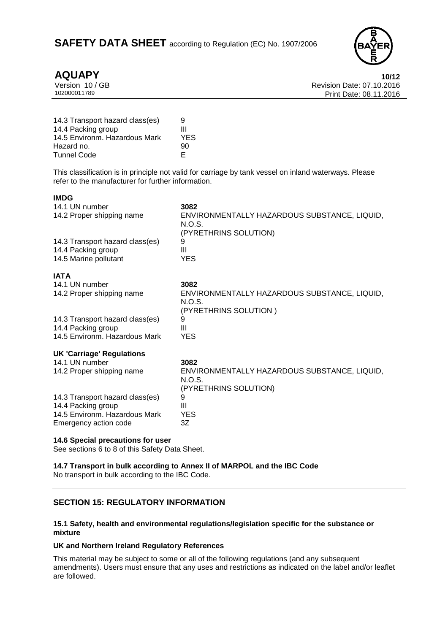

**IMDG**

**AQUAPY** 10/12<br>Version 10/GB 10/12<br>Revision Date: 07.10.2016 Version 10 / GB Revision Date: 07.10.2016 Print Date: 08.11.2016

| 14.3 Transport hazard class(es) | 9   |
|---------------------------------|-----|
| 14.4 Packing group              | Ш   |
| 14.5 Environm. Hazardous Mark   | YES |
| Hazard no.                      | 90  |
| <b>Tunnel Code</b>              | F   |

This classification is in principle not valid for carriage by tank vessel on inland waterways. Please refer to the manufacturer for further information.

| 14.1 UN number<br>14.2 Proper shipping name<br>14.3 Transport hazard class(es)<br>14.4 Packing group | 3082<br>ENVIRONMENTALLY HAZARDOUS SUBSTANCE, LIQUID,<br>N.O.S.<br>(PYRETHRINS SOLUTION)<br>9<br>Ш |
|------------------------------------------------------------------------------------------------------|---------------------------------------------------------------------------------------------------|
| 14.5 Marine pollutant                                                                                | YES.                                                                                              |
| <b>IATA</b>                                                                                          |                                                                                                   |
| 14.1 UN number                                                                                       | 3082                                                                                              |
| 14.2 Proper shipping name                                                                            | ENVIRONMENTALLY HAZARDOUS SUBSTANCE, LIQUID,<br>N.O.S.<br>(PYRETHRINS SOLUTION)                   |
| 14.3 Transport hazard class(es)                                                                      | 9                                                                                                 |
| 14.4 Packing group                                                                                   | Ш                                                                                                 |
| 14.5 Environm. Hazardous Mark                                                                        | YES                                                                                               |
| <b>UK 'Carriage' Regulations</b>                                                                     |                                                                                                   |
| 14.1 UN number                                                                                       | 3082                                                                                              |
| 14.2 Proper shipping name                                                                            | ENVIRONMENTALLY HAZARDOUS SUBSTANCE, LIQUID,<br>N.O.S.<br>(PYRETHRINS SOLUTION)                   |
| 14.3 Transport hazard class(es)                                                                      | 9                                                                                                 |
| 14.4 Packing group                                                                                   | Ш                                                                                                 |
| 14.5 Environm. Hazardous Mark                                                                        | YES                                                                                               |
| Emergency action code                                                                                | 3Ζ                                                                                                |

### **14.6 Special precautions for user**

See sections 6 to 8 of this Safety Data Sheet.

**14.7 Transport in bulk according to Annex II of MARPOL and the IBC Code** No transport in bulk according to the IBC Code.

# **SECTION 15: REGULATORY INFORMATION**

### **15.1 Safety, health and environmental regulations/legislation specific for the substance or mixture**

### **UK and Northern Ireland Regulatory References**

This material may be subject to some or all of the following regulations (and any subsequent amendments). Users must ensure that any uses and restrictions as indicated on the label and/or leaflet are followed.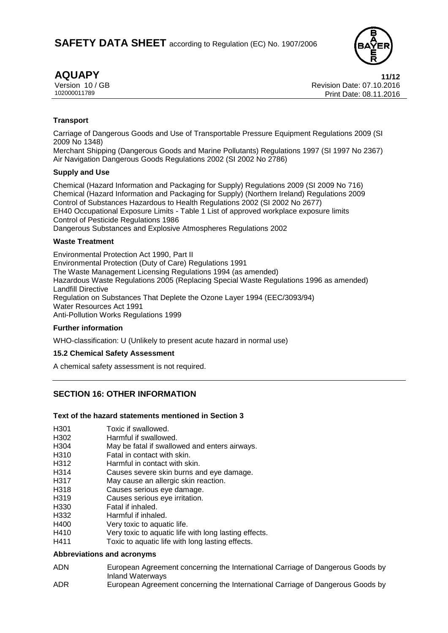

**AQUAPY 11/12** Version 10 / GB Revision Date: 07.10.2016 Print Date: 08.11.2016

# **Transport**

Carriage of Dangerous Goods and Use of Transportable Pressure Equipment Regulations 2009 (SI 2009 No 1348)

Merchant Shipping (Dangerous Goods and Marine Pollutants) Regulations 1997 (SI 1997 No 2367) Air Navigation Dangerous Goods Regulations 2002 (SI 2002 No 2786)

#### **Supply and Use**

Chemical (Hazard Information and Packaging for Supply) Regulations 2009 (SI 2009 No 716) Chemical (Hazard Information and Packaging for Supply) (Northern Ireland) Regulations 2009 Control of Substances Hazardous to Health Regulations 2002 (SI 2002 No 2677) EH40 Occupational Exposure Limits - Table 1 List of approved workplace exposure limits Control of Pesticide Regulations 1986 Dangerous Substances and Explosive Atmospheres Regulations 2002

### **Waste Treatment**

Environmental Protection Act 1990, Part II Environmental Protection (Duty of Care) Regulations 1991 The Waste Management Licensing Regulations 1994 (as amended) Hazardous Waste Regulations 2005 (Replacing Special Waste Regulations 1996 as amended) Landfill Directive Regulation on Substances That Deplete the Ozone Layer 1994 (EEC/3093/94) Water Resources Act 1991 Anti-Pollution Works Regulations 1999

### **Further information**

WHO-classification: U (Unlikely to present acute hazard in normal use)

### **15.2 Chemical Safety Assessment**

A chemical safety assessment is not required.

# **SECTION 16: OTHER INFORMATION**

### **Text of the hazard statements mentioned in Section 3**

- H301 Toxic if swallowed.
- H302 Harmful if swallowed.
- H304 May be fatal if swallowed and enters airways.
- H310 Fatal in contact with skin.
- H312 Harmful in contact with skin.
- H314 Causes severe skin burns and eye damage.
- H317 May cause an allergic skin reaction.
- H318 Causes serious eye damage.
- H319 Causes serious eye irritation.
- H330 Fatal if inhaled.
- H332 Harmful if inhaled.
- H400 Very toxic to aquatic life.
- H410 Very toxic to aquatic life with long lasting effects.
- H411 Toxic to aquatic life with long lasting effects.

# **Abbreviations and acronyms**

- ADN European Agreement concerning the International Carriage of Dangerous Goods by Inland Waterways
- ADR European Agreement concerning the International Carriage of Dangerous Goods by